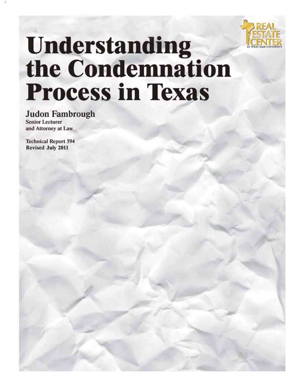

# **Understanding<br>the Condemnation Process in Texas**

**Judon Fambrough Senior Lecturer** and Attorney at Law

**Technical Report 394** Revised July 2011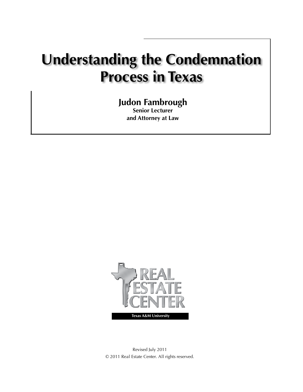## **Understanding the Condemnation Process in Texas**

## **Judon Fambrough**

**Senior Lecturer and Attorney at Law**



Revised July 2011 © 2011 Real Estate Center. All rights reserved.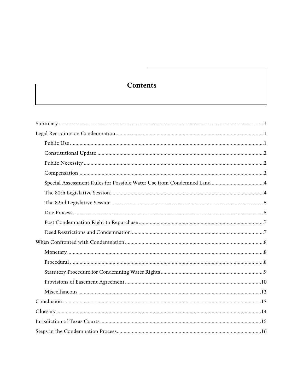### **Contents**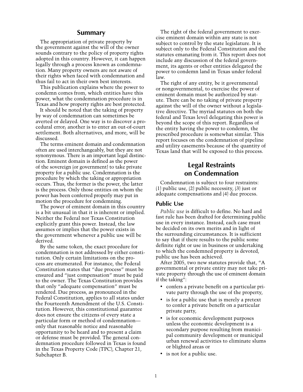#### **Summary**

The appropriation of private property by the government against the will of the owner sounds contrary to the policy of property rights adopted in this country. However, it can happen legally through a process known as condemnation. Many property owners are not aware of their rights when faced with condemnation and thus fail to act in their own best interests.

This publication explains where the power to condemn comes from, which entities have this power, what the condemnation procedure is in Texas and how property rights are best protected.

It should be noted that the taking of property by way of condemnation can sometimes be averted or delayed. One way is to discover a procedural error; another is to enter an out-of-court settlement. Both alternatives, and more, will be discussed.

The terms eminent domain and condemnation often are used interchangeably, but they are not synonymous. There is an important legal distinction. Eminent domain is defined as the power of the sovereign (or government) to take private property for a public use. Condemnation is the procedure by which the taking or appropriation occurs. Thus, the former is the power, the latter is the process. Only those entities on whom the power has been conferred properly may put in motion the procedure for condemning.

The power of eminent domain in this country is a bit unusual in that it is inherent or implied. Neither the Federal nor Texas Constitution explicitly grant this power. Instead, the law assumes or implies that the power exists in the government whenever a public use will be derived.

By the same token, the exact procedure for condemnation is not addressed by either constitution. Only certain limitations on the process are enumerated. For instance, the Federal Constitution states that "due process" must be ensured and "just compensation" must be paid to the owner. The Texas Constitution provides that only "adequate compensation" must be rendered. Due process, as pronounced in the Federal Constitution, applies to all states under the Fourteenth Amendment of the U.S. Constitution. However, this constitutional guarantee does not ensure the citizens of every state a particular form or method of condemnation only that reasonable notice and reasonable opportunity to be heard and to present a claim or defense must be provided. The general condemnation procedure followed in Texas is found in the Texas Property Code (TPC), Chapter 21, Subchapter B.

The right of the federal government to exercise eminent domain within any state is not subject to control by the state legislature. It is subject only to the Federal Constitution and the statutes emanating from it. This report does not include any discussion of the federal government, its agents or other entities delegated the power to condemn land in Texas under federal law.

The right of any entity, be it governmental or nongovernmental, to exercise the power of eminent domain must be authorized by statute. There can be no taking of private property against the will of the owner without a legislative directive. The myriad statutes on both the federal and Texas level delegating this power is beyond the scope of this report. Regardless of the entity having the power to condemn, the prescribed procedure is somewhat similar. This report focuses on the condemnation of pipeline and utility easements because of the quantity of Texas land that will be exposed to this process.

#### **Legal Restraints on Condemnation**

Condemnation is subject to four restraints: (1) public use, (2) public necessity, (3) just or adequate compensations and (4) due process.

#### **Public Use**

*Public use* is difficult to define. No hard and fast rule has been drafted for determining public use in every instance. Instead, each case must be decided on its own merits and in light of the surrounding circumstances. It is sufficient to say that if there results to the public some definite right or use in business or undertaking to which the condemned property is devoted, public use has been achieved.

After 2005, two new statutes provide that, "A governmental or private entity may not take private property through the use of eminent domain if the taking":

- confers a private benefit on a particular private party through the use of the property,
- is for a public use that is merely a pretext to confer a private benefit on a particular private party,
- is for economic development purposes unless the economic development is a secondary purpose resulting from municipal community development or municipal urban renewal activities to eliminate slums or blighted areas or
- is not for a public use.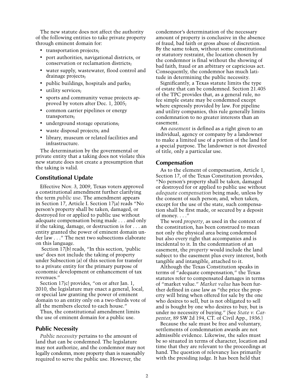The new statute does not affect the authority of the following entities to take private property through eminent domain for:

- transportation projects:
- port authorities, navigational districts, or conservation or reclamation districts;
- water supply, wastewater, flood control and drainage projects;
- public buildings, hospitals and parks;
- utility services;
- sports and community venue projects approved by voters after Dec. 1, 2005;
- common carrier pipelines or energy transporters;
- underground storage operations;
- waste disposal projects; and
- library, museum or related facilities and infrastructure.

The determination by the governmental or private entity that a taking does not violate this new statute does not create a presumption that the taking is valid.

#### **Constitutional Update**

Effective Nov. 3, 2009, Texas voters approved a constitutional amendment further clarifying the term *public use*. The amendment appears in Section 17, Article I. Section 17(a) reads "No person's property shall be taken, damaged, or destroyed for or applied to public use without adequate compensation being made . . . and only if the taking, damage, or destruction is for . . . an entity granted the power of eminent domain under law . . ." The next two subsections elaborate on this language.

 Section 17(b) reads, "In this section, 'public use' does not include the taking of property under Subsection (a) of this section for transfer to a private entity for the primary purpose of economic development or enhancement of tax revenues."

Section 17(c) provides, "on or after Jan. 1, 2010, the legislature may enact a general, local, or special law granting the power of eminent domain to an entity only on a two-thirds vote of all the members elected to each house."

Thus, the constitutional amendment limits the use of eminent domain for a public use.

#### **Public Necessity**

*Public necessity* pertains to the amount of land that can be condemned. The legislature may not authorize, and the condemnor may not legally condemn, more property than is reasonably required to serve the public use. However, the

condemnor's determination of the necessary amount of property is conclusive in the absence of fraud, bad faith or gross abuse of discretion. By the same token, without some constitutional or statutory restraint, the location chosen by the condemnor is final without the showing of bad faith, fraud or an arbitrary or capricious act. Consequently, the condemnor has much latitude in determining the public necessity.

Significantly, a Texas statute limits the type of estate that can be condemned. Section 21.405 of the TPC provides that, as a general rule, no fee simple estate may be condemned except where expressly provided by law. For pipeline and utility companies, this rule generally limits condemnation to no greater interests than an easement.

An *easement* is defined as a right given to an individual, agency or company by a landowner to make a limited use of a portion of the land for a special purpose. The landowner is not divested of title, only a particular use.

#### **Compensation**

As to the element of compensation, Article 1, Section 17, of the Texas Constitution provides, "No person's property shall be taken, damaged or destroyed for or applied to public use without *adequate compensation* being made, unless by the consent of such person; and, when taken, except for the use of the state, such compensation shall be first made, or secured by a deposit of money. . . ."

The word *property*, as used in the context of the constitution, has been construed to mean not only the physical area being condemned but also every right that accompanies and is incidental to it. In the condemnation of an easement, the *property* would include the land subject to the easement plus every interest, both tangible and intangible, attached to it.

Although the Texas Constitution speaks in terms of "adequate compensation," the Texas statutes refer to compensated damages in terms of "market value." *Market value* has been further defined in case law as "the price the property will bring when offered for sale by the one who desires to sell, but is not obligated to sell and is bought by one who desires to buy, but is under no necessity of buying." (See *State v. Carpenter*, 89 SW 2d 194, CT. of Civil App., 1936.)

Because the sale must be free and voluntary, settlements of condemnation awards are not admissible evidence. Likewise, the sales must be so situated in terms of character, location and time that they are relevant to the proceedings at hand. The question of relevancy lies primarily with the presiding judge. It has been held that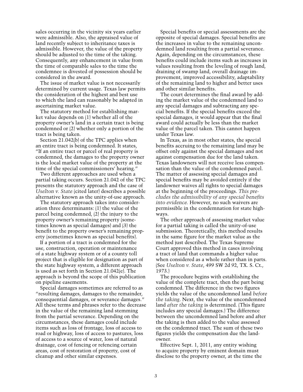sales occurring in the vicinity six years earlier were admissible. Also, the appraised value of land recently subject to inheritance taxes is admissible. However, the value of the property should be adjusted to the time of the taking. Consequently, any enhancement in value from the time of comparable sales to the time the condemnee is divested of possession should be considered in the award.

The issue of market value is not necessarily determined by current usage. Texas law permits the consideration of the highest and best use to which the land can reasonably be adapted in ascertaining market value.

The statutory method for establishing market value depends on (1) whether all of the property owner's land in a certain tract is being condemned or (2) whether only a portion of the tract is being taken.

Section 21.042(b) of the TPC applies when an entire tract is being condemned. It states, "If an entire tract or parcel of real property is condemned, the damages to the property owner is the local market value of the property at the time of the special commissioners' hearing."

Two different approaches are used when a partial taking occurs. Section 21.042 of the TPC presents the statutory approach and the case of *Uselton v. State* (cited later) describes a possible alternative known as the unity-of-use approach.

The statutory approach takes into consideration three determinants: (1) the value of the parcel being condemned, (2) the injury to the property owner's remaining property (sometimes known as special damages) and (3) the benefit to the property owner's remaining property (sometimes known as special benefits).

If a portion of a tract is condemned for the use, construction, operation or maintenance of a state highway system or of a county toll project that is eligible for designation as part of the state highway system, a different approach is used as set forth in Section 21.042(e). The approach is beyond the scope of this publication on pipeline easements.

Special damages sometimes are referred to as "resulting damages, damages to the remainder, consequential damages, or severance damages." All these terms and phrases refer to the decrease in the value of the remaining land stemming from the partial severance. Depending on the circumstances, these damages could include items such as loss of frontage, loss of access to road or highway, loss of access to pastures, loss of access to a source of water, loss of natural drainage, cost of fencing or refencing certain areas, cost of restoration of property, cost of cleanup and other similar expenses.

Special benefits or special assessments are the opposite of special damages. Special benefits are the increases in value to the remaining uncondemned land resulting from a partial severance. Again, depending on the circumstances, these benefits could include items such as increases in values resulting from the leveling of rough land, draining of swamp land, overall drainage improvement, improved accessibility, adaptability of the remaining land to higher and better uses and other similar benefits.

The court determines the final award by adding the market value of the condemned land to any special damages and subtracting any special benefits. If the special benefits exceed the special damages, it would appear that the final award could actually be less than the market value of the parcel taken. This cannot happen under Texas law.

In Texas, as in most other states, the special benefits accruing to the remaining land may be offset only against the special damages and not against compensation due for the land taken. Texas landowners will not receive less compensation than the value of the condemned parcel. The matter of assessing special damages and special benefits may be avoided entirely if the landowner waives all rights to special damages at the beginning of the proceedings. *This precludes the admissibility of any special benefits into evidence.* However, no such waivers are permissible in the condemnation for state highways.

The other approach of assessing market value for a partial taking is called the unity-of-use submission. Theoretically, this method results in the same figure for the market value as the method just described. The Texas Supreme Court approved this method in cases involving a tract of land that commands a higher value when considered as a whole rather than in parts. (See *Uselton v. State*, 499 SW 2d 92, TX. S. Ct., 1973.)

The procedure begins with establishing the value of the complete tract, then the part being condemned. The difference in the two figures yields the value of the uncondemned land *before the taking*. Next, the value of the uncondemned land *after the taking* is determined. (This figure includes any special damages.) The difference between the uncondemned land before and after the taking is then added to the value assessed on the condemned tract. The sum of these two figures yields the compensation due the landowner.

Effective Sept. 1, 2011, any entity wishing to acquire property by eminent domain must disclose to the property owner, at the time the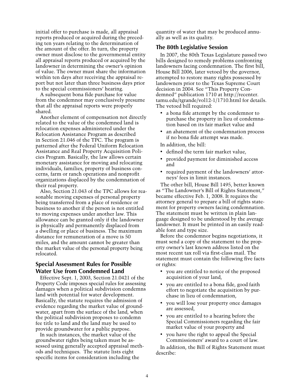initial offer to purchase is made, all appraisal reports produced or acquired during the preceding ten years relating to the determination of the amount of the offer. In turn, the property owner must disclose to the governmental entity all appraisal reports produced or acquired by the landowner in determining the owner's opinion of value. The owner must share the information within ten days after receiving the appraisal report but not later than three business days prior to the special commissioners' hearing.

A subsequent bona fide purchase for value from the condemnor may conclusively presume that all the appraisal reports were properly shared.

Another element of compensation not directly related to the value of the condemned land is relocation expenses administered under the Relocation Assistance Program as described in Section 21.046 of the TPC. The program is patterned after the Federal Uniform Relocation Assistance and Real Property Acquisition Policies Program. Basically, the law allows certain monetary assistance for moving and relocating individuals, families, property of business concerns, farm or ranch operations and nonprofit organizations displaced by the condemnation of their real property.

Also, Section 21.043 of the TPC allows for reasonable moving expenses of personal property being transferred from a place of residence or business to another if the person is not entitled to moving expenses under another law. This allowance can be granted only if the landowner is physically and permanently displaced from a dwelling or place of business. The maximum distance for remuneration of a move is 50 miles, and the amount cannot be greater than the market value of the personal property being relocated.

#### **Special Assessment Rules for Possible Water Use from Condemned Land**

Effective Sept. 1, 2003, Section 21.0421 of the Property Code imposes special rules for assessing damages when a political subdivision condemns land with potential for water development. Basically, the statute requires the admission of evidence regarding the market value of groundwater, apart from the surface of the land, when the political subdivision proposes to condemn fee title to land and the land may be used to provide groundwater for a public purpose.

In such instances, the market value of the groundwater rights being taken must be assessed using generally accepted appraisal methods and techniques. The statute lists eight specific items for consideration including the

quantity of water that may be produced annually as well as its quality.

#### **The 80th Legislative Session**

In 2007, the 80th Texas Legislature passed two bills designed to remedy problems confronting landowners facing condemnation. The first bill, House Bill 2006, later vetoed by the governor, attempted to restore many rights possessed by landowners prior to the Texas Supreme Court decision in 2004. See "This Property Condemned" publication 1710 at http://recenter. tamu.edu/tgrande/vol12-1/1710.html for details. The vetoed bill required:

- a bona fide attempt by the condemnor to purchase the property in lieu of condemnation based on its fair market value and
- an abatement of the condemnation process if no bona fide attempt was made.

In addition, the bill:

- defined the term fair market value,
- provided payment for diminished access and
- required payment of the landowners' attorneys' fees in limit instances.

The other bill, House Bill 1495, better known as "The Landowner's Bill of Rights Statement," became effective Feb. 1, 2008. It requires the attorney general to prepare a bill of rights statement for property owners facing condemnation. The statement must be written in plain language designed to be understood by the average landowner. It must be printed in an easily readable font and type size.

Before the condemnor begins negotiations, it must send a copy of the statement to the property owner's last known address listed on the most recent tax roll via first-class mail. The statement must contain the following five facts or rights:

- you are entitled to notice of the proposed acquisition of your land,
- you are entitled to a bona fide, good faith effort to negotiate the acquisition by purchase in lieu of condemnation,
- you will lose your property once damages are assessed,
- you are entitled to a hearing before the Special Commissioners regarding the fair market value of your property and
- you have the right to appeal the Special Commissioners' award to a court of law.

In addition, the Bill of Rights Statement must describe: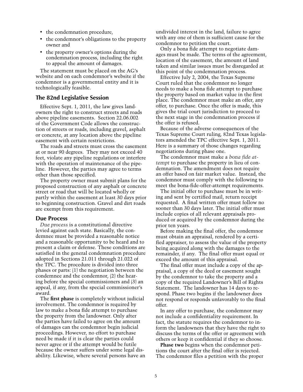- the condemnation procedure,
- the condemnor's obligations to the property owner and
- the property owner's options during the condemnation process, including the right to appeal the amount of damages.

The statement must be placed on the AG's website and on each condemnor's website if the condemnor is a governmental entity and it is technologically feasible.

#### **The 82nd Legislative Session**

Effective Sept. 1, 2011, the law gives landowners the right to construct streets and roads above pipeline easements. Section 22.06.002 of the Government Code allows the construction of streets or roads, including gravel, asphalt or concrete, at any location above the pipeline easement with certain restrictions.

The roads and streets must cross the easement at or near 90 degrees. They may not exceed 40 feet, violate any pipeline regulations or interfere with the operation of maintenance of the pipeline. However, the parties may agree to terms other than those specified.

The property owner must submit plans for the proposed construction of any asphalt or concrete street or road that will be located wholly or partly within the easement at least 30 days prior to beginning construction. Gravel and dirt roads are exempt from this requirement.

#### **Due Process**

*Due process* is a constitutional directive levied against each state. Basically, the condemnee must be provided a reasonable notice and a reasonable opportunity to be heard and to present a claim or defense. These conditions are satisfied in the general condemnation procedure adopted in Sections 21.011 through 21.022 of the TPC. The procedure is divided into three phases or parts: (1) the negotiation between the condemnee and the condemnor, (2) the hearing before the special commissioners and (3) an appeal, if any, from the special commissioner's award.

The **first phase** is completely without judicial involvement. The condemnor is required by law to make a bona fide attempt to purchase the property from the landowner. Only after the parties have failed to agree on the amount of damages can the condemnor begin judicial proceedings. However, no effort to purchase need be made if it is clear the parties could never agree or if the attempt would be futile because the owner suffers under some legal disability. Likewise, where several persons have an undivided interest in the land, failure to agree with any one of them is sufficient cause for the condemnor to petition the court.

Only a bona fide attempt to negotiate damages must be made. The terms of the agreement, location of the easement, the amount of land taken and similar issues must be disregarded at this point of the condemnation process.

Effective July 2, 2004, the Texas Supreme Court ruled that the condemnor no longer needs to make a bona fide attempt to purchase the property based on market value in the first place. The condemnor must make an offer, any offer, to purchase. Once the offer is made, this gives the trial court jurisdiction to proceed to the next stage in the condemnation process if the offer is refused.

Because of the adverse consequences of the Texas Supreme Court ruling, 82nd Texas legislators amended the TPC effective Sept. 1, 2011. Here is a summary of those changes regarding negotiations during phase one.

The condemnor must make a *bona fide attempt* to purchase the property in lieu of condemnation. The amendment does not require an offer based on fair market value. Instead, the condemnor must comply with the following to meet the bona-fide-offer-attempt requirements.

The initial offer to purchase must be in writing and sent by certified mail, return receipt requested. A final written offer must follow no sooner than 30 days later. The initial offer must include copies of all relevant appraisals produced or acquired by the condemnor during the prior ten years.

Before making the final offer, the condemnor must obtain an appraisal, rendered by a certified appraiser, to assess the value of the property being acquired along with the damages to the remainder, if any. The final offer must equal or exceed the amount of this appraisal.

The final offer must include a copy of the appraisal, a copy of the deed or easement sought by the condemnor to take the property and a copy of the required Landowner's Bill of Rights Statement. The landowner has 14 days to respond. Phase two begins if the landowner does not respond or responds unfavorably to the final offer.

In any offer to purchase, the condemnor may not include a confidentiality requirement. In fact, the statute requires the condemnor to inform the landowners that they have the right to discuss the terms of the offer or agreement with others or keep it confidential if they so choose.

**Phase two** begins when the condemnor petitions the court after the final offer is rejected. The condemnor files a petition with the proper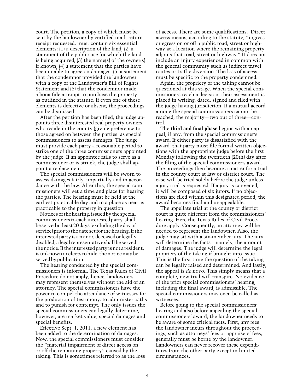court. The petition, a copy of which must be sent by the landowner by certified mail, return receipt requested, must contain six essential elements: (1) a description of the land, (2) a statement of the public use for which the land is being acquired, (3) the name(s) of the owner(s) if known, (4) a statement that the parties have been unable to agree on damages, (5) a statement that the condemnor provided the landowner with a copy of the Landowner's Bill of Rights Statement and (6) that the condemnor made a bona fide attempt to purchase the property as outlined in the statute. If even one of these elements is defective or absent, the proceedings can be dismissed.

After the petition has been filed, the judge appoints three disinterested real property owners who reside in the county (giving preference to those agreed on between the parties) as special commissioners to assess damages. The judge must provide each party a reasonable period to strike one of the three commissioners appointed by the judge. If an appointee fails to serve as a commissioner or is struck, the judge shall appoint a replacement.

The special commissioners will be sworn to assess damages fairly, impartially and in accordance with the law. After this, the special commissioners will set a time and place for hearing the parties. The hearing must be held at the earliest practicable day and in a place as near as practicable to the property in question.

Notices of the hearing, issued by the special commissioners to each interested party, shall be served at least 20 days (excluding the day of service) prior to the date set for the hearing. If the interested party is a minor, deceased or legally disabled, a legal representative shall be served the notice. If the interested party is not a resident, is unknown or elects to hide, the notice may be served by publication.

The hearing conducted by the special commissioners is informal. The Texas Rules of Civil Procedure do not apply; hence, landowners may represent themselves without the aid of an attorney. The special commissioners have the power to compel the attendance of witnesses for the production of testimony, to administer oaths and to punish for contempt. The only issues the special commissioners can legally determine, however, are market value, special damages and special benefits.

Effective Sept. 1, 2011, a new element has been added to the determination of damages. Now, the special commissioners must consider the "material impairment of direct access on or off the remaining property" caused by the taking. This is sometimes referred to as the loss of access. There are some qualifications. Direct access means, according to the statute, "ingress or egress on or off a public road, street or highway at a location where the remaining property adjoins that road, street or highway." It does not include an injury experienced in common with the general community such as indirect travel routes or traffic diversion. The loss of access must be specific to the property condemned.

Again, the propriety of the taking cannot be questioned at this stage. When the special commissioners reach a decision, their assessment is placed in writing, dated, signed and filed with the judge having jurisdiction. If a mutual accord among the special commissioners cannot be reached, the majority—two out of three—control.

The **third and final phase** begins with an appeal, if any, from the special commissioner's award. If either party is dissatisfied with the award, that party must file formal written objections with the appropriate judge before the first Monday following the twentieth (20th) day after the filing of the special commissioner's award. The proceedings then become a matter for a trial in the county court at law or district court. The case will be tried solely before the judge unless a jury trial is requested. If a jury is convened, it will be composed of six jurors. If no objections are filed within this designated period, the award becomes final and unappealable.

The appellate trial at the county or district court is quite different from the commissioners' hearing. Here the Texas Rules of Civil Procedure apply. Consequently, an attorney will be needed to represent the landowner. Also, the judge may sit with a six-member jury. The jury will determine the facts—namely, the amount of damages. The judge will determine the legal propriety of the taking if brought into issue. This is the first time the question of the taking can be legally raised and determined. And lastly, the appeal is *de novo*. This simply means that a complete, new trial will transpire. No evidence of the prior special commissioners' hearing, including the final award, is admissible. The special commissioners may even be called as witnesses.

Before going to the special commissioners' hearing and also before appealing the special commissioners' award, the landowner needs to be aware of some critical facts. First, any fees the landowner incurs throughout the proceedings, such as attorneys' fees or appraisers' fees, generally must be borne by the landowner. Landowners can never recover these expenditures from the other party except in limited circumstances.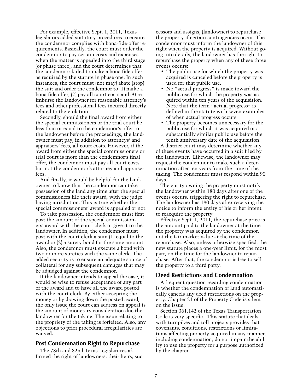For example, effective Sept. 1, 2011, Texas legislators added statutory procedures to ensure the condemnor complies with bona-fide-offer requirements. Basically, the court must order the condemnor to pay certain costs and expenses when the matter is appealed into the third stage (or phase three), and the court determines that the condemnor failed to make a bona fide offer as required by the statute in phase one. In such instances, the court must (not may) abate (stop) the suit and order the condemnor to (1) make a bona fide offer, (2) pay all court costs and (3) reimburse the landowner for reasonable attorney's fees and other professional fees incurred directly related to the violation.

Secondly, should the final award from either the special commissioners or the trial court be less than or equal to the condemnor's offer to the landowner before the proceedings, the landowner must pay, in addition to attorneys' and appraisers' fees, all court costs. However, if the award from either the special commissioners or trial court is more than the condemnor's final offer, the condemnor must pay all court costs but not the condemnor's attorney and appraiser fees.

And finally, it would be helpful for the landowner to know that the condemnor can take possession of the land any time after the special commissioners file their award, with the judge having jurisdiction. This is true whether the special commissioners' award is appealed or not.

To take possession, the condemnor must first post the amount of the special commissioners' award with the court clerk or give it to the landowner. In addition, the condemnor must post with the court clerk a sum (1) equal to the award or (2) a surety bond for the same amount. Also, the condemnor must execute a bond with two or more sureties with the same clerk. The added security is to ensure an adequate source of collateral for any subsequent damages that may be adjudged against the condemnor.

If the landowner intends to appeal the case, it would be wise to refuse acceptance of any part of the award and to have all the award posted with the court clerk. By either accepting the money or by drawing down the posted award, the only issue the court can address on appeal is the amount of monetary consideration due the landowner for the taking. The issue relating to the propriety of the taking is forfeited. Also, any objections to prior procedural irregularities are waived.

#### **Post Condemnation Right to Repurchase**

The 78th and 82nd Texas Legislatures affirmed the right of landowners, their heirs, successors and assigns, (landowner) to repurchase the property if certain contingencies occur. The condemnor must inform the landowner of this right when the property is acquired. Without going into details, the landowner has the right to repurchase the property when any of these three events occurs:

- The public use for which the property was acquired is canceled before the property is used for that public use.
- No "actual progress" is made toward the public use for which the property was acquired within ten years of the acquisition. Note that the term "actual progress" is defined in the statute with seven examples of when actual progress occurs.
- The property becomes unnecessary for the public use for which it was acquired or a substantially similar public use before the tenth anniversary date of the acquisition.

A district court may determine whether any of these events have occurred in a suit filed by the landowner. Likewise, the landowner may request the condemnor to make such a determination after ten years from the time of the taking. The condemnor must respond within 90 days.

The entity owning the property must notify the landowner within 180 days after one of the events occurs, triggering the right to repurchase. The landowner has 180 days after receiving the notice to inform the entity of his or her intent to reacquire the property.

Effective Sept. 1, 2011, the repurchase price is the amount paid to the landowner at the time the property was acquired by the condemnor, not the fair market value at the time of the repurchase. Also, unless otherwise specified, the new statute places a one-year limit, for the most part, on the time for the landowner to repurchase. After that, the condemnor is free to sell the property to a third party.

#### **Deed Restrictions and Condemnation**

A frequent question regarding condemnation is whether the condemnation of land automatically cancels any deed restrictions on the property. Chapter 21 of the Property Code is silent on the issue.

Section 361.142 of the Texas Transportation Code is very specific. This statute that deals with turnpikes and toll projects provides that covenants, conditions, restrictions or limitations affecting property acquired in any manner, including condemnation, do not impair the ability to use the property for a purpose authorized by the chapter.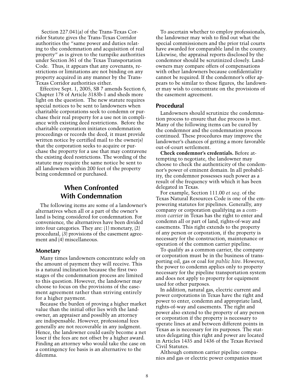Section 227.041(a) of the Trans-Texas Corridor Statute gives the Trans-Texas Corridor authorities the "same power and duties relating to the condemnation and acquisition of real property" as is given to the turnpike authorities under Section 361 of the Texas Transportation Code. Thus, it appears that any covenants, restrictions or limitations are not binding on any property acquired in any manner by the Trans-Texas Corridor authorities either.

Effective Sept. 1, 2005, SB 7 amends Section 6, Chapter 178 of Article 3183b-1 and sheds more light on the question. The new statute requires special notices to be sent to landowners when charitable corporations seek to condemn or purchase their real property for a use not in compliance with existing deed restrictions. Before the charitable corporation initiates condemnation proceedings or records the deed, it must provide written notice by certified mail to the owner(s) that the corporation seeks to acquire or purchase the property for a use that may contravene the existing deed restrictions. The wording of the statute may require the same notice be sent to all landowners within 200 feet of the property being condemned or purchased.

#### **When Confronted With Condemnation**

The following items are some of a landowner's alternatives when all or a part of the owner's land is being considered for condemnation. For convenience, the alternatives have been divided into four categories. They are: (1) monetary, (2) procedural, (3) provisions of the easement agreement and (4) miscellaneous.

#### **Monetary**

Many times landowners concentrate solely on the amount of payment they will receive. This is a natural inclination because the first two stages of the condemnation process are limited to this question. However, the landowner may choose to focus on the provisions of the easement agreement rather than striving entirely for a higher payment.

Because the burden of proving a higher market value than the initial offer lies with the landowner, an appraiser and possibly an attorney are indispensable. However, professional fees generally are not recoverable in any judgment. Hence, the landowner could easily become a net loser if the fees are not offset by a higher award. Finding an attorney who would take the case on a contingency fee basis is an alternative to the dilemma.

To ascertain whether to employ professionals, the landowner may wish to find out what the special commissioners and the prior trial courts have awarded for comparable land in the county. Likewise, the appraisal reports disclosed by the condemnor should be scrutinized closely. Landowners may compare offers of compensations with other landowners because confidentiality cannot be required. If the condemnor's offer appears to be similar to these figures, the landowner may wish to concentrate on the provisions of the easement agreement.

#### **Procedural**

Landowners should scrutinize the condemnation process to ensure that due process is met. Many of the following items can be cured by the condemnor and the condemnation process continued. These procedures may improve the landowner's chances of getting a more favorable out-of-court settlement.

**Check condemnor's credentials.** Before attempting to negotiate, the landowner may choose to check the authenticity of the condemnor's power of eminent domain. In all probability, the condemnor possesses such power as a result of the frequency with which it has been delegated in Texas.

For example, Section 111.00 *et seq.* of the Texas Natural Resources Code is one of the empowering statutes for pipelines. Generally, any company or corporation qualifying as a *common carrier* in Texas has the right to enter and condemn all or part of land, rights-of-way and easements. This right extends to the property of any person or corporation, if the property is necessary for the construction, maintenance or operation of the common carrier pipeline.

To qualify as a common carrier, the company or corporation must be in the business of transporting oil, gas or coal for *public hire*. However, the power to condemn applies only to property necessary for the pipeline transportation system and does not apply to property for equipment used for other purposes.

In addition, natural gas, electric current and power corporations in Texas have the right and power to enter, condemn and appropriate land, rights-of-way and easements. The right and power also extend to the property of any person or corporation if the property is necessary to operate lines at and between different points in Texas as is necessary for its purposes. The statutes delegating this right and power are located in Articles 1435 and 1436 of the Texas Revised Civil Statutes.

Although common carrier pipeline companies and gas or electric power companies must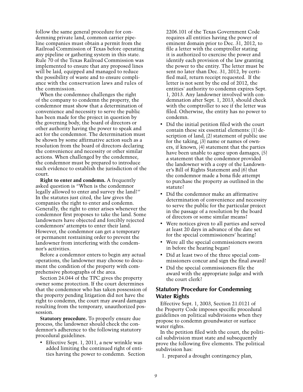follow the same general procedure for condemning private land, common carrier pipeline companies must obtain a permit from the Railroad Commission of Texas before operating any pipeline or gathering system in this state. Rule 70 of the Texas Railroad Commission was implemented to ensure that any proposed lines will be laid, equipped and managed to reduce the possibility of waste and to ensure compliance with the conservation laws and rules of the commission.

When the condemnee challenges the right of the company to condemn the property, the condemnor must show that a determination of convenience and necessity to serve the public has been made for the project in question by the governing body, the board of directors or other authority having the power to speak and act for the condemnor. The determination must be shown by some affirmative action such as a resolution from the board of directors declaring the convenience and necessity or other similar actions. When challenged by the condemnee, the condemnor must be prepared to introduce such evidence to establish the jurisdiction of the court.

**Right to enter and condemn.** A frequently asked question is "When is the condemnor legally allowed to enter and survey the land?" In the statutes just cited, the law gives the companies the right to enter and condemn. Generally, the right to enter arises whenever the condemnor first proposes to take the land. Some landowners have objected and forcibly rejected condemnors' attempts to enter their land. However, the condemnor can get a temporary or permanent restraining order to prevent the landowner from interfering with the condemnor's activities.

Before a condemnor enters to begin any actual operations, the landowner may choose to document the condition of the property with comprehensive photographs of the area.

Section 24.044 of the TPC gives the property owner some protection. If the court determines that the condemnor who has taken possession of the property pending litigation did not have the right to condemn, the court may award damages resulting from the temporary, unauthorized possession.

**Statutory procedure.** To properly ensure due process, the landowner should check the condemnor's adherence to the following statutory procedural guidelines.

• Effective Sept. 1, 2011, a new wrinkle was added limiting the continued right of entities having the power to condemn. Section

2206.101 of the Texas Government Code requires all entities having the power of eminent domain prior to Dec. 31, 2012, to file a letter with the comptroller stating it is authorized to exercise the power and identify each provision of the law granting the power to the entity. The letter must be sent no later than Dec. 31, 2012, by certified mail, return receipt requested. If the letter is not sent by the end of 2012, the entities' authority to condemn expires Sept. 1, 2013. Any landowner involved with condemnation after Sept. 1, 2013, should check with the comptroller to see if the letter was filed. Otherwise, the entity has no power to condemn.

- Did the initial petition filed with the court contain these six essential elements: (1) description of land, (2) statement of public use for the taking, (3) name or names of owners, if known, (4) statement that the parties have been unable to agree upon damages, (5) a statement that the condemnor provided the landowner with a copy of the Landowner's Bill of Rights Statement and (6) that the condemnor made a bona fide attempt to purchase the property as outlined in the statute?
- Did the condemnor make an affirmative determination of convenience and necessity to serve the public for the particular project in the passage of a resolution by the board of directors or some similar means?
- • Were notices given to all parties and served at least 20 days in advance of the date set for the special commissioners' hearing?
- • Were all the special commissioners sworn in before the hearing began?
- Did at least two of the three special commissioners concur and sign the final award?
- Did the special commissioners file the award with the appropriate judge and with the court clerk?

#### **Statutory Procedure for Condemning Water Rights**

Effective Sept. 1, 2003, Section 21.0121 of the Property Code imposes specific procedural guidelines on political subdivisions when they propose to condemn groundwater or surface water rights.

In the petition filed with the court, the political subdivision must state and subsequently prove the following five elements. The political subdivision has:

1. prepared a drought contingency plan,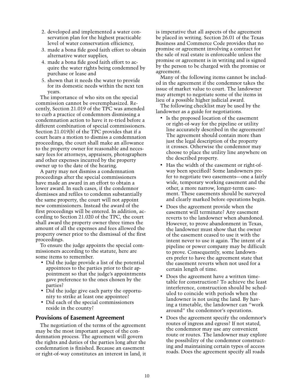- 2. developed and implemented a water conservation plan for the highest practicable level of water conservation efficiency,
- 3. made a bona fide good faith effort to obtain alternative water supplies,
- 4. made a bona fide good faith effort to acquire the water rights being condemned by purchase or lease and
- 5. shown that it needs the water to provide for its domestic needs within the next ten years.

The importance of who sits on the special commission cannot be overemphasized. Recently, Section 21.019 of the TPC was amended to curb a practice of condemnors dismissing a condemnation action to have it re-tried before a different combination of special commissioners. Section 21.019(b) of the TPC provides that if a court hears a motion to dismiss a condemnation proceedings, the court shall make an allowance to the property owner for reasonable and necessary fees for attorneys, appraisers, photographers and other expenses incurred by the property owner up to the date of the hearing.

A party may not dismiss a condemnation proceedings after the special commissioners have made an award in an effort to obtain a lower award. In such cases, if the condemnor dismisses and refiles to condemn substantially the same property, the court will not appoint new commissioners. Instead the award of the first proceedings will be entered. In addition, according to Section 21.020 of the TPC, the court shall award the property owner three times the amount of all the expenses and fees allowed the property owner prior to the dismissal of the first proceedings.

To ensure the judge appoints the special commissioners according to the statute, here are some items to remember.

- Did the judge provide a list of the potential appointees to the parties prior to their appointment so that the judge's appointments gave preference to the ones chosen by the parties?
- Did the judge give each party the opportunity to strike at least one appointee?
- • Did each of the special commissioners reside in the county?

#### **Provisions of Easement Agreement**

The negotiation of the terms of the agreement may be the most important aspect of the condemnation process. The agreement will govern the rights and duties of the parties long after the condemnation is finished. Because an easement or right-of-way constitutes an interest in land, it is imperative that all aspects of the agreement be placed in writing. Section 26.01 of the Texas Business and Commerce Code provides that no promise or agreement involving a contract for the sale of real estate is enforceable unless the promise or agreement is in writing and is signed by the person to be charged with the promise or agreement.

Many of the following items cannot be included in the agreement if the condemnor takes the issue of market value to court. The landowner may attempt to negotiate some of the items in lieu of a possible higher judicial award.

The following checklist may be used by the landowner as a guide for negotiations.

- Is the proposed location of the easement or right-of-way for the pipeline or utility line accurately described in the agreement? The agreement should contain more than just the legal description of the property it crosses. Otherwise the condemnor may choose to place the utility line anywhere on the described property.
- Has the width of the easement or right-ofway been specified? Some landowners prefer to negotiate two easements—one a fairly wide, temporary working easement and the other, a more narrow, longer-term easement. These easements should be surveyed and clearly marked before operations begin.
- • Does the agreement provide when the easement will terminate? Any easement reverts to the landowner when abandoned. However, to prove abandonment in Texas, the landowner must show that the owner of the easement ceased to use it with the intent never to use it again. The intent of a pipeline or power company may be difficult to prove. Consequently, some landowners prefer to have the agreement state that the easement reverts when not used for a certain length of time.
- Does the agreement have a written timetable for construction? To achieve the least interference, construction should be scheduled to coincide with periods when the landowner is not using the land. By having a timetable, the landowner can "work around" the condemnor's operations.
- Does the agreement specify the ondemnor's routes of ingress and egress? If not stated, the condemnor may use any convenient route or routes. The landowner may explore the possibility of the condemnor constructing and maintaining certain types of access roads. Does the agreement specify all roads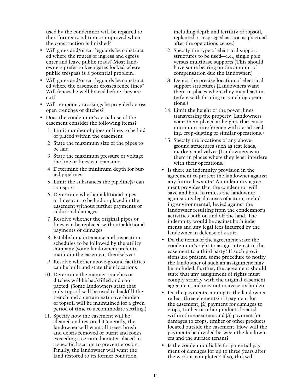used by the condemnor will be repaired to their former condition or improved when the construction is finished?

- • Will gates and/or cattleguards be constructed where the routes of ingress and egress enter and leave public roads? Most landowners prefer to keep gates locked where public trespass is a potential problem.
- Will gates and/or cattleguards be constructed where the easement crosses fence lines? Will fences be well braced before they are cut?
- Will temporary crossings be provided across open trenches or ditches?
- • Does the condemnor's actual use of the easement consider the following items?
	- 1. Limit number of pipes or lines to be laid or placed within the easement
	- 2. State the maximum size of the pipes to be laid
	- 3. State the maximum pressure or voltage the line or lines can transmit
	- 4. Determine the minimum depth for buried pipelines
	- 5. Limit the substances the pipeline(s) can transport
	- 6. Determine whether additional pipes or lines can to be laid or placed in the easement without further payments or additional damages
	- 7. Resolve whether the original pipes or lines can be replaced without additional payments or damages
	- 8. Establish maintenance and inspection schedules to be followed by the utility company (some landowners prefer to maintain the easement themselves)
	- 9. Resolve whether above-ground facilities can be built and state their locations
	- 10. Determine the manner trenches or ditches will be backfilled and compacted. (Some landowners state that only topsoil will be used to backfill the trench and a certain extra overburden of topsoil will be maintained for a given period of time to accommodate settling.)
	- 11. Specify how the easement will be cleaned and restored (Generally, the landowner will want all trees, brush and debris removed or burnt and rocks exceeding a certain diameter placed in a specific location to prevent erosion. Finally, the landowner will want the land restored to its former condition,

including depth and fertility of topsoil, replanted or resprigged as soon as practical after the operations cease.)

- 12. Specify the type of electrical support structures to be used—i.e., single pole versus multibase supports (This should have some bearing on the amount of compensation due the landowner.)
- 13. Depict the precise location of electrical support structures (Landowners want them in places where they may least interfere with farming or ranching operations.)
- 14. Limit the height of the power lines transversing the property (Landowners want them placed at heights that cause minimum interference with aerial seeding, crop-dusting or similar operations.)
- 15. Specify the locations of any aboveground structures such as test leads, markers and valves (Landowners want them in places where they least interfere with their operations.)
- • Is there an indemnity provision in the agreement to protect the landowner against any future lawsuits? An indemnity agreement provides that the condemnor will save and hold harmless the landowner against any legal causes of action, including environmental, levied against the landowner resulting from the condemnor's activities both on and off the land. The indemnity would be against both judgments and any legal fees incurred by the landowner in defense of a suit.
- Do the terms of the agreement state the condemnor's right to assign interest in the easement to a third party? If such provisions are present, some procedure to notify the landowner of such an assignment may be included. Further, the agreement should state that any assignment of rights must comply strictly with the original easement agreement and may not increase its burden.
- Do the payments coming to the landowner reflect three elements? (1) payment for the easement, (2) payment for damages to crops, timber or other products located within the easement and (3) payment for damages to crops, timber or other products located outside the easement. How will the payments be divided between the landowners and the surface tenant?
- • Is the condemnor liable for potential payment of damages for up to three years after the work is completed? If so, this will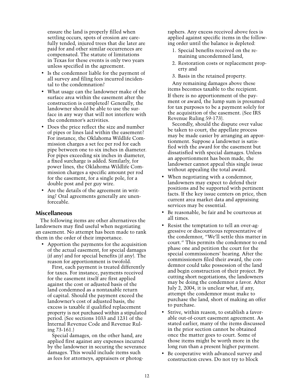ensure the land is properly filled when settling occurs, spots of erosion are carefully tended, injured trees that die later are paid for and other similar occurrences are compensated. The statute of limitations in Texas for these events is only two years unless specified in the agreement.

- • Is the condemnor liable for the payment of all survey and filing fees incurred incidental to the condemnation?
- What usage can the landowner make of the surface area within the easement after the construction is completed? Generally, the landowner should be able to use the surface in any way that will not interfere with the condemnor's activities.
- Does the price reflect the size and number of pipes or lines laid within the easement? For instance, the Oklahoma Wildlife Commission charges a set fee per rod for each pipe between one to six inches in diameter. For pipes exceeding six inches in diameter, a fixed surcharge is added. Similarly, for power lines, the Oklahoma Wildlife Commission charges a specific amount per rod for the easement, for a single pole, for a double post and per guy wire.
- • Are the details of the agreement in writing? Oral agreements generally are unenforceable.

#### **Miscellaneous**

The following items are other alternatives the landowners may find useful when negotiating an easement. No attempt has been made to rank them in the order of their importance.

• Apportion the payments for the acquisition of the actual easement, for special damages (if any) and for special benefits (if any). The reason for apportionment is twofold.

First, each payment is treated differently for taxes. For instance, payments received for the easement itself are first applied against the cost or adjusted basis of the land condemned as a nontaxable return of capital. Should the payment exceed the landowner's cost of adjusted basis, the excess is taxable if qualified replacement property is not purchased within a stipulated period. (See sections 1033 and 1231 of the Internal Revenue Code and Revenue Ruling 73-161.)

Special damages, on the other hand, are applied first against any expenses incurred by the landowner in securing the severance damages. This would include items such as fees for attorneys, appraisers or photographers. Any excess received above fees is applied against specific items in the following order until the balance is depleted:

- 1. Special benefits received on the remaining uncondemned land,
- 2. Restoration costs or replacement property and
- 3. Basis in the retained property.

Any remaining damages above these items becomes taxable to the recipient. If there is no apportionment of the payment or award, the lump sum is presumed for tax purposes to be a payment solely for the acquisition of the easement. (See IRS Revenue Ruling 59-173).

Secondly, should the dispute over value be taken to court, the appellate process may be made easier by arranging an apportionment. Suppose a landowner is satisfied with the award for the easement but dissatisfied with special damages. Unless an apportionment has been made, the landowner cannot appeal this single issue without appealing the total award.

- When negotiating with a condemnor, landowners may expect to defend their positions and be supported with pertinent facts. If the key issue centers on price, then current area market data and appraising services may be essential.
- • Be reasonable, be fair and be courteous at all times.
- Resist the temptation to tell an over-aggressive or discourteous representative of the condemnor, "We'll settle this matter in court." This permits the condemnor to end phase one and petition the court for the special commissioners' hearing. After the commissioners filed their award, the condemnor could take possession of the land and begin construction of their project. By cutting short negotiations, the landowners may be doing the condemnor a favor. After July 2, 2004, it is unclear what, if any, attempt the condemnor must make to purchase the land, short of making an offer to purchase.
- Strive, within reason, to establish a favorable out-of-court easement agreement. As stated earlier, many of the items discussed in the prior section cannot be obtained once the matter goes to court. Some of those items might be worth more in the long run than a present higher payment.
- • Be cooperative with advanced survey and construction crews. Do not try to block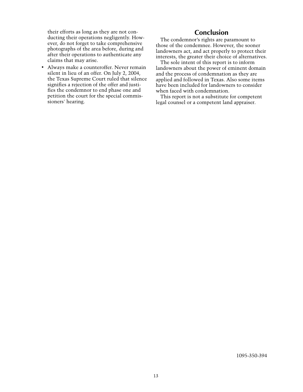their efforts as long as they are not conducting their operations negligently. However, do not forget to take comprehensive photographs of the area before, during and after their operations to authenticate any claims that may arise.

• Always make a counteroffer. Never remain silent in lieu of an offer. On July 2, 2004, the Texas Supreme Court ruled that silence signifies a rejection of the offer and justifies the condemnor to end phase one and petition the court for the special commissioners' hearing.

#### **Conclusion**

The condemnor's rights are paramount to those of the condemnee. However, the sooner landowners act, and act properly to protect their interests, the greater their choice of alternatives.

The sole intent of this report is to inform landowners about the power of eminent domain and the process of condemnation as they are applied and followed in Texas. Also some items have been included for landowners to consider when faced with condemnation.

This report is not a substitute for competent legal counsel or a competent land appraiser.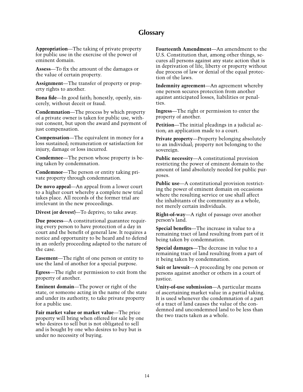#### **Glossary**

**Appropriation**—The taking of private property for public use in the exercise of the power of eminent domain.

**Assess**—To fix the amount of the damages or the value of certain property.

**Assignment**—The transfer of property or property rights to another.

**Bona fide**—In good faith; honestly, openly, sincerely, without deceit or fraud.

**Condemnation**—The process by which property of a private owner is taken for public use, without consent, but upon the award and payment of just compensation.

**Compensation**—The equivalent in money for a loss sustained; remuneration or satisfaction for injury, damage or loss incurred.

**Condemnee**—The person whose property is being taken by condemnation.

**Condemnor**—The person or entity taking private property through condemnation.

**De novo appeal**—An appeal from a lower court to a higher court whereby a complete new trial takes place. All records of the former trial are irrelevant in the new proceedings.

**Divest (or devest)**—To deprive; to take away.

**Due process**—A constitutional guarantee requiring every person to have protection of a day in court and the benefit of general law. It requires a notice and opportunity to be heard and to defend in an orderly proceeding adapted to the nature of the case.

**Easement**—The right of one person or entity to use the land of another for a special purpose.

**Egress**—The right or permission to exit from the property of another.

**Eminent domain**—The power or right of the state, or someone acting in the name of the state and under its authority, to take private property for a public use.

**Fair market value or market value**—The price property will bring when offered for sale by one who desires to sell but is not obligated to sell and is bought by one who desires to buy but is under no necessity of buying.

**Fourteenth Amendment**—An amendment to the U.S. Constitution that, among other things, secures all persons against any state action that is in deprivation of life, liberty or property without due process of law or denial of the equal protection of the laws.

**Indemnity agreement**—An agreement whereby one person secures protection from another against anticipated losses, liabilities or penalties.

**Ingress**—The right or permission to enter the property of another.

**Petition**—The initial pleadings in a judicial action; an application made to a court.

**Private property**—Property belonging absolutely to an individual; property not belonging to the sovereign.

**Public necessity**—A constitutional provision restricting the power of eminent domain to the amount of land absolutely needed for public purposes.

**Public use**—A constitutional provision restricting the power of eminent domain on occasions where the resulting service or use shall affect the inhabitants of the community as a whole, not merely certain individuals.

**Right-of-way**—A right of passage over another person's land.

**Special benefits**—The increase in value to a remaining tract of land resulting from part of it being taken by condemnation.

**Special damages**—The decrease in value to a remaining tract of land resulting from a part of it being taken by condemnation.

**Suit or lawsuit**—A proceeding by one person or persons against another or others in a court of justice.

**Unity-of-use submission**—A particular means of ascertaining market value in a partial taking. It is used whenever the condemnation of a part of a tract of land causes the value of the condemned and uncondemned land to be less than the two tracts taken as a whole.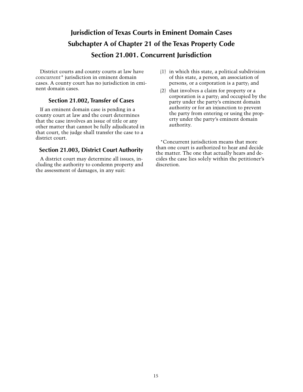## **Jurisdiction of Texas Courts in Eminent Domain Cases Subchapter A of Chapter 21 of the Texas Property Code Section 21.001. Concurrent Jurisdiction**

District courts and county courts at law have *concurrent\** jurisdiction in eminent domain cases. A county court has no jurisdiction in eminent domain cases.

#### **Section 21.002, Transfer of Cases**

If an eminent domain case is pending in a county court at law and the court determines that the case involves an issue of title or any other matter that cannot be fully adjudicated in that court, the judge shall transfer the case to a district court.

#### **Section 21.003, District Court Authority**

A district court may determine all issues, including the authority to condemn property and the assessment of damages, in any suit:

- (1) in which this state, a political subdivision of this state, a person, an association of persons, or a corporation is a party; and
- (2) that involves a claim for property or a corporation is a party; and occupied by the party under the party's eminent domain authority or for an injunction to prevent the party from entering or using the property under the party's eminent domain authority.

\*Concurrent jurisdiction means that more than one court is authorized to hear and decide the matter. The one that actually hears and decides the case lies solely within the petitioner's discretion.